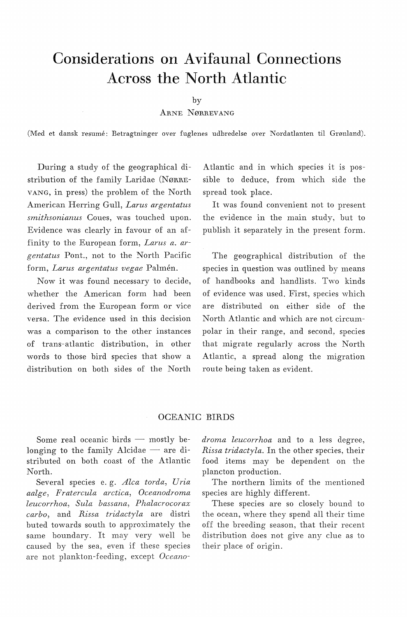# **Considerations on Avifaunal Connections Across the North Atlantic**

by

ARNE NØRREVANG

(Med et dansk resume: Betragtninger over fuglenes udbredelse over Nordatlanten til Grønland).

During a study of the geographical distribution of the family Laridae (NøRRE-VANG, in press) the problem of the North American Herring Gull, *Larus argentatus smithsonianus* Coues, was touched upon. Evidence was clearly in favour of an affinity to the European form, *Larus a. argentatus* Pont., not to the North Pacific form, *Larus argentatus vegae* Palmén.

Now it was found necessary to decide, whether the American form had been derived from the European form or vice versa. The evidence used in this decision was a comparison to the other instances of trans-atlantic distribution, in other words to those bird species that show a distribution on both sides of the North

Atlantic and in which species it is possible to deduce, from which side the spread took place.

It was found convenient not to present the evidence in the main study, but to publish it separately in the present form.

The geographical distribution of the species in question was outlined by means of handbooks and handlists. Two kinds of evidence was used. First, species which are distributed on either side of the North Atlantic and which are not circumpolar in their range, and second, species that migrate regularly across the North Atlantic, a spread along the migration route being taken as evident.

## OCEANIC **BIRDS**

Some real oceanic birds  $-$  mostly belonging to the family Alcidae  $-$  are distributed on both coast of the Atlantic North.

Several species e. g. *Alca torda, Uria aalge, Fratercula arctica, Oceanodroma leucorrhoa, Sula bassana, Phalacrocorax*  carbo, and Rissa tridactyla are distri buted towards south to approximately the same boundary. It may very well be caused by the sea, even if these species are not plankton-feeding, except *Oceano-* droma leucorrhoa and to a less degree, *Rissa tridactyla.* In the other species, their food items may be dependent on the plancton production.

The northern limits of the mentioned species are highly different.

These species are so closely bound to the ocean, where they spend all their time off the breeding season, that their recent distribution does not give any clue as to their place of origin.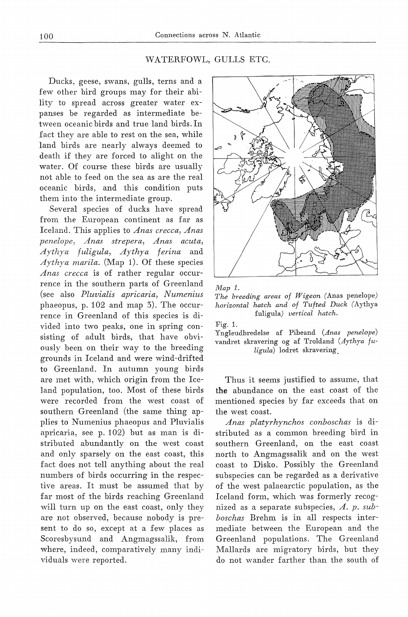## WATERFOWL, GULLS ETC.

Ducks, geese, swans, gulls, terns and a few other bird groups may for their ability to spread across greater water expanses be regarded as intermediate between oceanic birds and true land birds. In faet they are able to rest on the sea, while land hirds are nearly always deemed to death if they are forced to alight on the water. Of course these birds are usually not able to feed on the sea as are the real oceanic birds, and this condition puts them into the intermediate group.

Several species of ducks have spread from the European continent as far as Iceland. This applies to *Anas crecca, Anas penelope, Anas strepera, Anas acuta, Aythya fuligula, Aythya ferina* and *Aythya marila.* (Map 1). Of these species *Anas crecca* is of rather regular occurrence in the southern parts of Greenland (see also *Pluvialis apricaria, Numenius*  phaeopus, p. 102 and map 3). The occurrence in Greenland of this species is divided into two peaks, one in spring consisting of adult birds, that have obviously been on their way to the breeding grounds in Iceland and were wind-drifted to Greenland. In autumn young hirds are met with, which origin from the Iceland population, too. Most of these birds were recorded from the west coast of southern Greenland (the same thing applies to Numenius phaeopus and Pluvialis apricaria, see p. 102) but as man is distributed abundantly on the west coast and only sparsely on the east coast, this faet does not tell anything about the real numbers of birds occurring in the respective areas. It must be assumed that by far most of the hirds reaching Greenland will turn up on the east coast, only they are not observed, because nobody is present to do so, except at a few places as Scoresbysund and Angmagssalik, from where, indeed, comparatively many individuals were reported.





*The breeding areas of Wigeon* (Anas penelope) *horizontal hatch and of Tufted Duck* (Aythya fuligula) *vertical hatch.* 

Fig. 1.

Yngleudbredelse af Pibeand *(Anas penelope)*  vandret skravering og af Troldand *(Aythya fuligula)* lodret skravering.

Thus it seems justified to assume, that **the** abundance on the east coast of the mentioned species by far exceeds that on the west coast.

*Anas platyrhynchos conboschas* is distributed as a common breeding bird in southern Greenland, on the east coast north to Angmagssalik and on the west coast to Disko. Possibly the Greenland subspecies can be regarded as a derivative of the west palaearctic population, as the Iceland form, which was formerly recognized as a separate subspecies, *A. p. subboschas* Brehm is in all respects intermediate between the European and the Greenland populations. The Greenland Mallards are migratory hirds, but they do not wander farther than the south of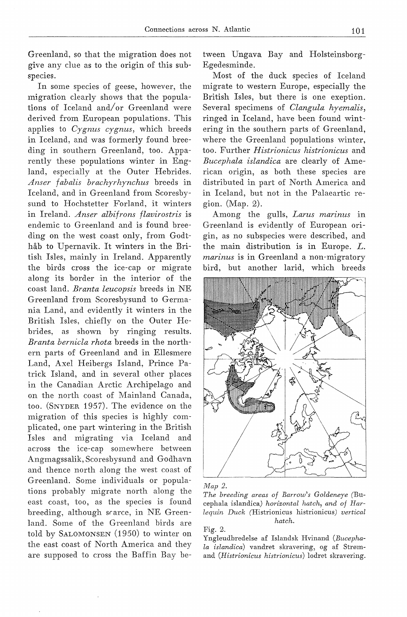Greenland, so that the migration does not give any clue as to the origin of this subspecies.

In some species of geese, however, the migration clearly shows that the populations of Iceland and/or Greenland were derived from European populations. This applies to *Cygnus cygnus,* which breeds in Iceland, and was formerly found breeding in southern Greenland, too. Apparently these populations winter in England, especially at the Outer Hebrides. *Anser fabalis brachyrhynchus* breeds in Iceland, and in Greenland from Scoresbysund to Hochstetter Forland, it winters in Ireland. *Anser albifrons flavirostris* is endemic to Greenland and is found breeding on the west coast only, from Godthåb to Upernavik. It winters in the British Isles, mainly in Ireland. Apparently the hirds cross the ice-cap or migrate along its border in the interior of the coast land. *Branta leucopsis* breeds in NE Greenland from Scoresbysund to Germania Land, and evidently it winters in the British Isles, chiefly on the Outer Hebrides, as shown by ringing results. *Branta bernicla rhota* breeds in the northern parts of Greenland and in Ellesmere Land, Axel Heibergs Island, Prince Patrick Island, and in several other places in the Canadian Arctic Archipelago and on the north coast of Mainland Canada, too. (SNYDER 1957). The evidence on the migration of this species is highly complicated, one part wintering in the British Isles and migrating via Iceland and across the ice-cap somewhere between Angmagssalik, Scoresbysund and Godhavn and thence north along the west coast of Greenland. Some individuals or populations probably migrate north along the east coast, too, as the species is found breeding, although srarce, in NE Greenland. Some of the Greenland hirds are told by SALOMONSEN (1950) to winter on the east coast of North America and they are supposed to cross the Baffin Bay be-

tween Ungava Bay and Holsteinsborg-Egedesminde.

Most of the duck species of Iceland migrate to western Europe, especially the British Isles, but there is one exeption. Several specimens of *Clangula hyemalis,*  ringed in Iceland, have been found wintering in the southern parts of Greenland, where the Greenland populations winter, too. Further *Histrionicus histrionicus* and *Bucephala islandica* are clearly of American origin, as both these species are distributed in part of North America and in Iceland, but not in the Palaeartic region. (Map. 2).

Among the gulls, *Larus marinus* in Greenland is evidently of European origin, as no subspecies were described, and the main distribution is in Europe. *L. marinus* is in Greenland a non-migratory bird, but another larid, which breeds



*Map 2.* 

*The breeding areas of Barrow's Goldeneye* (Bucephala islandica) *horizontal hatch, and of Harlequin Duck* (Histrionicus histrionicus) *vertical hatch.* 

Fig. Z.

Yngleudbredelse af Islandsk Hvinand *(Bucephala islandica)* vandret skravering, og af Strømand *(Histrionicus histrionicus)* lodret skravering.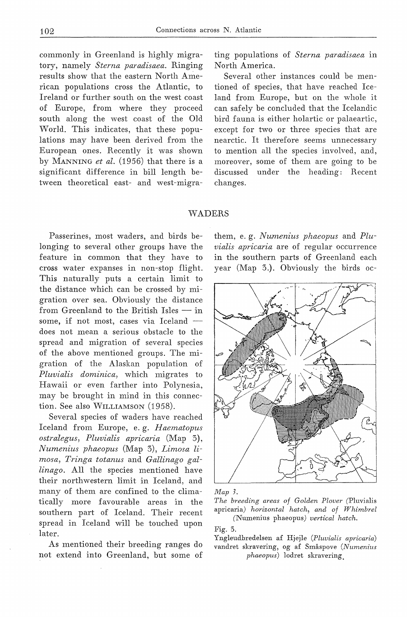commonly in Greenland is highly migratory, namely *Sterna paradisaea.* Ringing results show that the eastern North American populations cross the Atlantic, to Ireland or further south on the west coast of Europe, from where they proceed south along the west coast of the Old World. This indicates, that these populations may have been derived from the European ones. Recently it was shown by MANNING *et al.* (1956) that there is a significant difference in bill length between theoretical east- and west-migrating populations of *Sterna paradisaea* in North America.

Several other instances could he mentioned of species, that have reached Iceland from Europe, but on the whole it can safely he concluded that the Icelandic hird fauna is either holartic or palaeartic, except for two or three species that are nearctic. It therefore seems unnecessary to mention all the species involved, and, moreover, some of them are going to he discussed under the heading: Recent changes.

#### WADERS

Passerines, most waders, and hirds helonging to several other groups have the feature in common that they have to cross water expanses in non-stop flight. This naturally puts a certain limit to the distance which can he crossed by migration over sea. Obviously the distance from Greenland to the British Isles  $-$  in some, if not most, cases via Iceland  $$ does not mean a serious obstacle to the spread and migration of several species of the above mentioned groups. The migration of the Alaskan population of *Pluvialis dominica,* which migrates to Hawaii or even farther into Polynesia, may he hrought in mind in this connection. See also WILLIAMSON (1958).

Several species of waders have reached Iceland from Europe, e. g. *Haematopus ostralegus, Pluvialis apricaria* (Map 3), *Numenius phaeopus* (Map 3), *Limosa limosa, Tringa totanus* and *Gallinago gallinago.* All the species mentioned have their northwestern limit in Iceland, and many of them are confined to the climatically more favourahle areas in the southern part of Iceland. Their recent spread in Iceland will be touched upon later.

As mentioned their breeding ranges do not extend into Greenland, but some of them, e. g. *Numenius phaeopus* and *Pluvialis apricaria* are of regular occurrence in the southern parts of Greenland each year (Map 3.). Obviously the hirds oc-



#### *Map 3.*

*The breeding areas af Golden Flover* (Pluvialis apricaria) *horizontal hatch, and af Whimbrel*  (Numenius phaeopus) *vertical hatch.* 

Fig. 3.

Yngleudbredelsen af Hjejle *(Pluvialis apricaria)*  vandret skravering, og af Småspove *(Numenius phaeopus)* lodret skravering.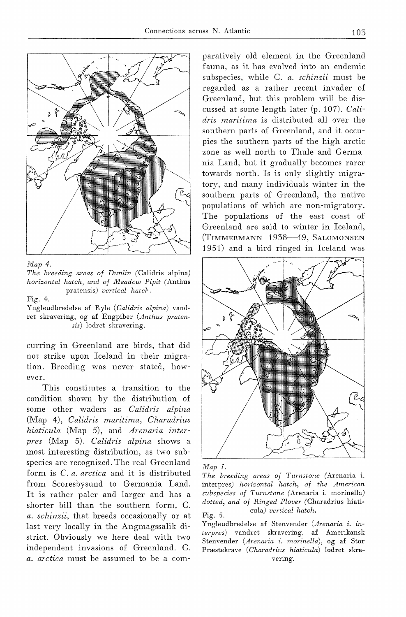

*Map 4.* 

*The breeding areas of Dunlin* (Calidris alpina) *horizontal hatch, and of Meadow Pipit* (Anthus pratensis) *vertical hatcr,* 

Fig. 4.

Yngleudbredelse af Ryle *(Calidris alpina)* vandret skravering, og af Engpiber *(Anthus pratensis)* lodret skravering.

curring in Greenland are birds, that did not strike upon Iceland in their migration. Breeding was never stated, however.

This constitutes a transition to the condition shown by the distribution of some other waders as *Calidris alpina*  (Map 4), *Calidris maritima, Charadrius hiaticula* (Map 5), and *Arenaria interpres* (Map 5). *Calidris alpina* shows a most interesting distribution, as two subspecies are recognized. The real Greenland form is *C. a. arctica* and it is distributed from Scoresbysund to Germania Land. It is rather paler and larger and has a shorter bill than the southern form, C. *a. schinzii,* that breeds occasionally or at last very locally in the Angmagssalik district. Obviously we here deal with two independent invasions of Greenland. C. *a. arctica* must be assumed to be a com-

paratively old element in the Greenland fauna, as it has evolved into an endemic subspecies, while C. *a. schinzii* must be regarded as a rather recent invader of Greenland, but this problem will be discussed at some length later (p. 107). *Calidris maritima* is distributed all over the southern parts of Greenland, and it occupies the southern parts of the high arctic zone as well north to Thule and Germania Land, but it gradually becomes rarer towards north. Is is only slightly migratory, and many individuals winter in the southern parts of Greenland, the native populations of which are non-migratory. The populations of the east coast of Greenland are said to winter in Iceland, (TIMMERMANN 1938-49, SALOMONSEN 1951) and a bird ringed in Iceland was



*Map 5.* 

*The breeding areas of Turnstone* (Arenaria i. interpres) *horizontal hatch, of the American subspecies of Turnstone* (Arenaria i. morinella) *dotted, and of Ringed Plover* (Charadrius hiati-Fig. 5. cula) *vertical hatch.* 

Yngleudbredelse af Stenvender *(Arenaria i. interpres)* vandret skravering, af Amerikansk Stenvender *(Arenaria i. morinella),* og af Stor Præstekrave ( *Charadrius hiaticula)* lodret skravering.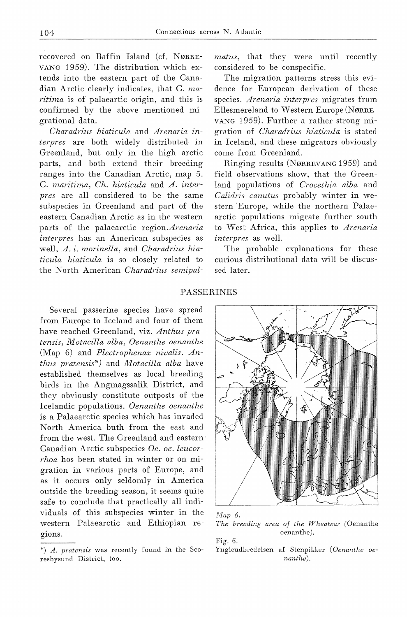recovered on Baffin Island (cf. NøRRE-VANG 1959). The distribution which extends into the eastern part of the Canadian Arctic clearly indicates, that C. *maritima* is of palaeartic origin, and this is confirmed by the above mentioned migrational data.

*Charadrius hiaticula* and *Arenaria interpres* are both widely distributed in Greenland, but only in the high arctic parts, and both extend their breeding ranges into the Canadian Arctic, map 5. C. *maritima, Ch. hiaticula* and *A. interpres* are all considered to be the same subspecies in Greenland and part of the eastern Canadian Arctic as in the western parts of the palaearctic *region.Arenaria interpres* has an American subspecies as well, *A. i. morinella,* and *Charadrius hiaticula hiaticula* is so closely related to the North American *Charadrius semipal-* *matus,* that they were until recently considered to be conspecific.

The migration patterns stress this evidence for European derivation of these species. *Arenaria interpres* migrates from Ellesmereland to Western Europe (NØRRE-VANG 1959). Further a rather strong migration of *Charadrius hiaticula* is stated in Iceland, and these migrators obviously come from Greenland.

Ringing results (NØRREVANG 1959) and field observations show, that the Greenland populations of *Crocethia alba* and *Calidris canutus* probably winter in western Europe, while the northern Palaearctic populations migrate further south to West Africa, this applies to *Arenaria interpres* as well.

The probable explanations for these curious distributional data will be discussed later.

#### **PASSERINES**

Several passerine species have spread from Europe to Iceland and four of them have reached Greenland, viz. *Anthus pratensis, M otacilla alba, Oenanthe oenanthe*  (Map 6) and *Plectrophenax nivalis. Anthus pratensis\**) and *Motacilla alba* have established themselves as local breeding birds in the Angmagssalik District, and they obviously constitute outposts of the Icelandic populations. *Oenanthe oenanthe*  is a Palaearctic species which has invaded North America buth from the east and from the west. The Greenland and eastern Canadian Arctic subspecies *Oe. oe. leucorrhoa* hos been stated in winter or on migration in various parts of Europe, and as it occurs only seldomly in America outside the hreeding season, it seems quite safe to conclude that practically all individuals of this subspecies winter in the western Palaearctic and Ethiopian regions.





Fig. 6.

Yngleudbredelsen af Stenpikker *(Oenanthe oenanthe).* 

<sup>\*)</sup> *A. pratensis* was recently found in the Scoresbysund District, too.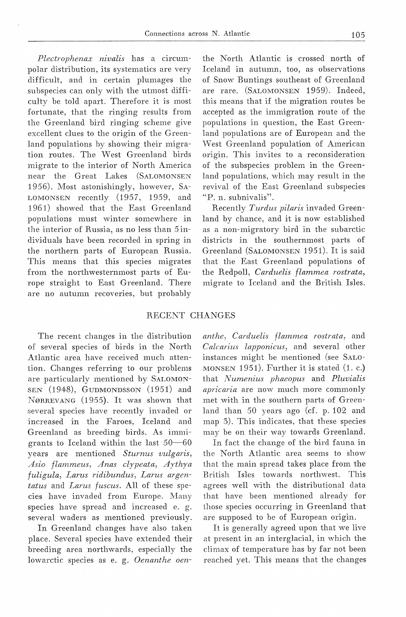*Plectrophenax nivalis* has a circumpolar distribution, its systematics are very difficult, and in certain plumages the suhspecies can only with the utmost difficulty be told apart. Therefore it is most fortunate, that the ringing results from the Greenland bird ringing scheme give excellent clues to the origin of the Greenland populations by showing their migration routes. The West Greenland birds migrate to the interior of North America near the Great Lakes (SALOMONSEN 1956). Most astonishingly, however, SA-LOMONSEN recently (1957, 1959, and 1961) showed that the East Greenland populations must winter somewhere in Lhe interior of Russia, as no less than *5* individuals have been recorded in spring in the northern parts of European Russia. This means that this species migrates from the northwesternmost parts of Europe straight to East Greenland. There are no autumn recoveries, but probably the North Atlantic is crossed north of Iceland in autumn, too, as observations of Snow Buntings southeast of Greenland are rare. (SALOMONSEN 1959). Indeed, this means that if the migration routes be accepted as the immigration route of the populations in question, the East Greenland populations are of European and the West Greenland population of American origin. This invites to a reconsideration of the subspecies problem in the Greenland populations, which may result in the revival of the East Greenland subspecies "P. n. subnivalis".

Recently *Turdus pilaris* invaded Greenland by chance, and it is now established as a non-migratory bird in the subarctic districts in the southernmost parts of Greenland (SALOMONSEN 1951). It is said that the East Greenland populations of the Redpoll, *Carduelis flammea rostrata,*  migrate to Iceland and the British Isles.

## RECENT CHANGES

The recent changes in the distribution of several species of birds in the North Atlantic area have received much attention. Changes referring to our problems are particularly mentioned by SALOMON-SEN (1948), GUDMONDSSON (1951) and NøRREVANG (1955). It was shown that several species have recently invaded or increased in the Faroes, Iceland and Greenland as breeding birds. As immigrants to Iceland within the last  $50-60$ years are mentioned *Sturnus vulgaris, Asio flmnmeus, Anas clypeata, Aythya fuligula, Larus ridibundus, Larus argentatus* and *Larus fuscus.* All of these species have invaded from Europe. Many species have spread and increased e. g. several waders as mentioned previously.

In Greenland changes have also taken place. Several species have extended their breeding area northwards, especially the lowarctic species as e. g. *Oenanthe oen-* *anthe, Carduelis flammea rostrata,* and *Calcarius lapponicus,* and several other instances might be mentioned (see SALO-MONSEN 1951). Further it is stated (1. c.) that *Numenius phaeopus* and *Pluvialis apricaria* are now much more commonly met with in the southern parts of Greenland than 50 years ago (cf. p. 102 and map 3). This indicates, that these species may be on their way towards Greenland.

In faet the change of the hird fauna in the North Atlantic area seems to show that the main spread takes place from the British Isles towards northwest. This agrees well with the distributional data that have been mentioned already for Lhose species occurring in Greenland that are supposed to be of European origin.

It is generally agreed upon that we live at present in an interglacial, in which the climax of temperature has by far not been reached yet. This means that the changes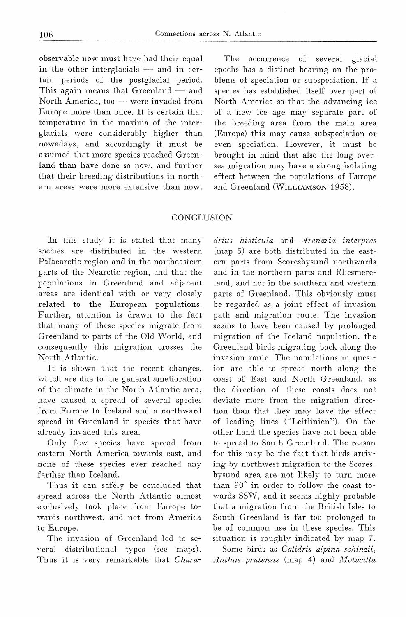observable now must have had their equal in the other interglacials  $-$  and in certain periods of the postglacial period. This again means that Greenland  $-$  and North America, too  $-$  were invaded from Europe more than once. It is certain that temperature in the maxima of the interglacials were considerably higher than nowadays, and accordingly it must be assumed that more species reached Greenland than have done so now, and further that their breeding distributions in northern areas were more extensive than now.

The occurrence of several glacial epochs has a distinct bearing on the problems of speciation or subspeciation. If <sup>a</sup> species has established itself over part of North America so that the advancing ice of a new ice age may separate part of the breeding area from the main area (Europe) this may cause subspeciation or even speciation. However, it must be brought in mind that also the long oversea migration may have a strong isolating effect between the populations of Europe and Greenland (WILLIAMSON 1958).

## **CONCLUSION**

In this study it is stated that many species are distributed in the western Palaearctic region and in the northeastern parts of the Nearctic region, and that the populations in Greenland and adjacent areas are identical with or very closely related to the European populations. Further, attention is drawn to the faet that many of these species migrate from Greenland to parts of the Old World, and consequently this migration crosses the North Atlantic.

It is shown that the recent changes, which are due to the general amelioration of the climate in the North Atlantic area, have caused a spread of several species from Europe to Iceland and a northward spread in Greenland in species that have already invaded this area.

Only few species have spread from eastern North America towards east, and none of these species ever reached any farther than Iceland.

Thus it can safely be concluded that spread across the North Atlantic almost exclusively took place from Europe towards northwest, and not from America to Europe.

The invasion of Greenland led to several distributional types (see maps). Thus it is very remarkable that *Chara-*

*drius hiaticula* and *Arenaria interpres*  (map 5) are both distributed in the eastern parts from Scoresbysund northwards and in the northern parts and Ellesmereland, and not in the southern and western parts of Greenland. This obviously must be regarded as a joint effect of invasion path and migration route. The invasion seems to have been caused by prolonged migration of the Iceland population, the Greenland birds migrating back along the invasion route. The populations in question are able to spread north along the coast of East and North Greenland, as the direction of these coasts does not deviate more from the migration direction than that they may have the effect of ]eading lines ("Leitlinien"). On the other hand the species have not been able to spread to South Greenland. The reason for this may be the faet that birds arriving by northwest migration to the Scoresbysund area are not likely to turn more than 90° in order to follow the coast towards SSW, and it seems highly probable that a migration from the British Isles to South Greenland is far too prolonged to be of common use in these species. This situation is roughly indicated by map 7.

Some birds as *Calidris alpina schinzii, Anthus pratensis* (map 4) and *Motacilla*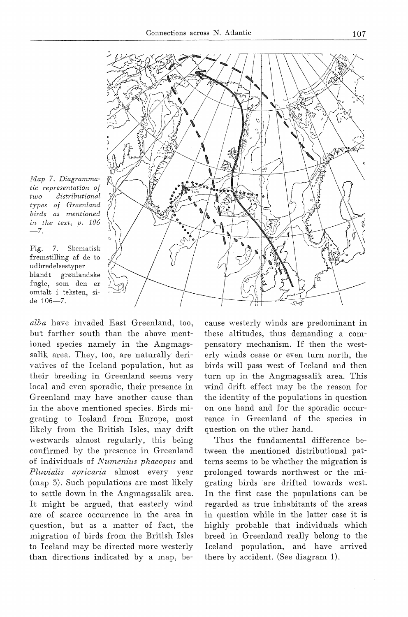

*Map 7. Diagrammatic representation of two distributional types of Greenland hirds as mentioned in the text, p. 106*   $-7.$ 

Fig. 7. Skematisk fremstilling af de to udhredelsestyper blandt grønlandske fugle, som den er omtalt i teksten, side 106-7.

*alba* have invaded East Greenland, too, but farther south than the above mentioned species namely in the Angmagssalik area. They, too, are naturally derivatives of the Iceland population, but as their breeding in Greenland seems very local and even sporadic, their presence in Greenland may have another cause than in the above mentioned species. Birds migrating to Iceland from Europe, most likely from the British Isles, may drift westwards almost regularly, this being confirmed by the presence in Greenland of individuals of *Numenius phaeopus* and *Pluvialis apricaria* almost every year (map 3). Such populations are most likely to settle down in the Angmagssalik area. It might be argued, that easterly wind are of scarce occurrence in the area in question, but as a matter of fact, the migration of birds from the British Isles to Iceland may be directed more westerly than directions indicated by a map, because westerly winds are predominant in these altitudes, thus demanding a compensatory mechanism. If then the westerly winds cease or even turn north, the birds will pass west of Iceland and then turn up in the Angmagssalik area. This wind drift effect may be the reason for the identity of the populations in question on one hand and for the sporadic occurrence in Greenland of the species in question on the other hand.

Thus the fundamental difference between the mentioned distributional patterns seems to be whether the migration is prolonged towards northwest or the migrating birds are drifted towards west. In the first case the populations can be regarded as true inhabitants of the areas in question while in the latter case it is highly probable that individuals which breed in Greenland really belong to the Iceland population, and have arrived there by accident. (See diagram 1).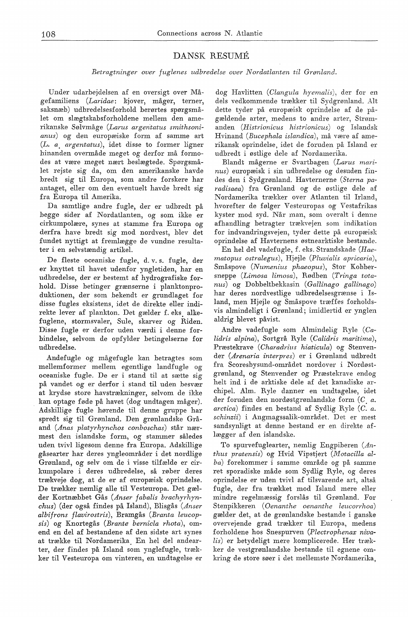## DANSK RESUME

*Betragtninger over fuglenes udbredelse over Nordatlanten til Grønland.* 

Under udarbejdelsen af en oversigt over Mågefamiliens *(Laridae:* kjover, måger, terner, saksnæb) udbredelsesforhold berørtes spørgsmålet om slægtskabsforholdene mellem den amerikanske Sølvmåge *(Larus argentatus smithsonianus)* og den europæiske form af samme art (L. *a. argentatus),* idet disse to former ligner hinanden overmåde meget og derfor må formodes at være meget nært beslægtede. Spørgsmålet rejste sig da, om den amerikanske havde bredt sig til Europa, som andre forskere har antaget, eller om den eventuelt havde bredt sig fra Europa til Amerika.

Da samtlige andre fugle, der er udbredt på begge sider af Nordatlanten, og som ikke er cirkumpolære, synes at stamme fra Europa og derfra have bredt sig mod nordvest, blev det fundet nyttigt at fremlægge de vundne resultater i en selvstændig artikel.

De fleste oceaniske fugle, d. v. s. fugle, der er knyttet til havet udenfor yngletiden, har en udbredelse, der er bestemt af hydrografiske forhold. Disse betinger grænserne i planktonproduktionen, der som bekendt er grundlaget for disse fugles eksistens, idet de direkte eller indirekte lever af plankton. Det gælder f. eks. alkefuglene, stormsvaler, Sule, skarver og Riden. Disse fugle er derfor uden værdi i denne forbindelse, selvom de opfylder betingelserne for udbredelse.

Andefugle og mågefugle kan betragtes som mellemformer mellem egentlige landfugle og oceaniske fugle. De er i stand til at sætte sig på vandet og er derfor i stand til uden besvær at krydse store havstrækninger, selvom de ikke kan optage føde på havet (dog undtagen måger). Adskillige fugle hørende til denne gruppe har spredt sig til Grønland. Den grønlandske Gråand *(Anas platyrhynchos conboschas)* står nærmest den islandske form, og stammer således uden tvivl ligesom denne fra Europa. Adskillige gåsearter har deres yngleområder i det nordlige Grønland, og selv om de i visse tilfælde er cirkumpolare i deres udbredelse, så røber deres trækveje dog, at de er af europæisk oprindelse. De trækker nemlig alle til Vesteuropa. Det gælder Kortnæbbet Gås (Anser fabalis brachyrhyn*chus)* (der også findes på Island), Blisgås *(Anser albifrons flavirostris),* Bramgås *(Branta leucopsis)* og Knortegås *(Brante bernicla rhota),* omend en del af bestandene af den sidste art synes at trække til Nordamerika. En hel del andearter, der findes på Island som ynglefugle, trækker til Vesteuropa om vinteren, en undtagelse er dog Havlitten *(Clangula hyemalis),* der for en dels vedkommende trækker til Sydgrønland. Alt dette tyder på europæisk oprindelse af de pågældende arter, medens to andre arter, Strømanden *(Histrionicus histrionicus)* og Islandsk Hvinand *(Bucephala islandica),* må være af amerikansk oprindelse, idet de foruden på Island er udbredt i østlige dele af Nordamerika.

Blandt mågerne er Svartbagen *(Larus marinus)* europæisk i sin udbredelse og desuden findes den i Sydgrønland. Havternerne *(Sterna paradisaea)* fra Grønland og de østlige dele af Nordamerika trækker over Atlanten til Irland, hvorefter de følger Vesteuropas og Vestafrikas kyster mod syd. Når man, som overalt i denne afhandling betragter trækvejen som indikation for indvandringsvejen, tyder dette på europæisk oprindelse af Havternens østnearktiske bestande.

En hel del vadefugle, f. eks. Strandskade *(Haematopus ostralegus),* Hjejle *(Pluvialis apricaria),*  Småspove *(Numenius phaeopus),* Stor Kobbersneppe *(Limosa limosa),* Rødben *(Tringa totanus)* og Dobbeltbekkasin ( *Gallinago gallinago)*  har deres nordvestlige udbredelsesgrænse i Island, men Hjejle og Småspove træffes forholdsvis almindeligt i Grønland; imidlertid er ynglen aldrig blevet påvist.

Andre vadefugle som Almindelig Ryle *(Calidris alpina),* Sortgrå Ryle *(Calidris maritima),*  Præstekrave ( *Charadrius hiaticula)* og Stenvender *(Arenaria interpres)* er i Grønland udbredt fra Scoresbysund-området nordover i Nordøstgrønland, og Stenvender og Præstekrave endog helt ind i de arktiske dele af det kanadiske archi pel. Alm. Ryle danner en undtagelse, idet der foruden den nordøstgrønlandske form (C<sub>.</sub> a. *arctica*) findes en bestand af Sydlig Ryle (C. *a. schinzii)* i Angmagssalik-området. Det er mest sandsynligt at denne bestand er en direkte aflægger af den islandske.

To spurvefuglearter, nemlig Engpiberen *(Anthus pratensis)* og Hvid Vipstjert *(Motacilla alba)* forekommer i samme område og på samme ret sporadiske måde som Sydlig Ryle, og deres oprindelse er uden tvivl af tilsvarende art, altså fugle, der fra trækket mod Island mere eller mindre regelmæssig forslås til Grønland. For Stenpikkeren ( *Oenanthe oenanthe leucorrhoa)*  gælder det, at de grønlandske bestande i ganske overvejende grad trækker til Europa, medens forholdene hos Snespurven *(Plectrophenax nivalis)* er betydeligt mere komplicerede. Her trækker de vestgrønlandske bestande til egnene omkring de store søer i det mellemste Nordamerika,